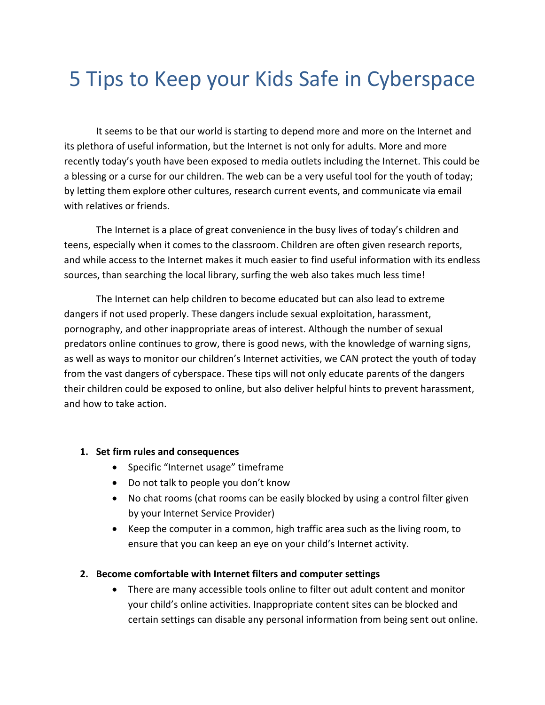# 5 Tips to Keep your Kids Safe in Cyberspace

It seems to be that our world is starting to depend more and more on the Internet and its plethora of useful information, but the Internet is not only for adults. More and more recently today's youth have been exposed to media outlets including the Internet. This could be a blessing or a curse for our children. The web can be a very useful tool for the youth of today; by letting them explore other cultures, research current events, and communicate via email with relatives or friends.

The Internet is a place of great convenience in the busy lives of today's children and teens, especially when it comes to the classroom. Children are often given research reports, and while access to the Internet makes it much easier to find useful information with its endless sources, than searching the local library, surfing the web also takes much less time!

The Internet can help children to become educated but can also lead to extreme dangers if not used properly. These dangers include sexual exploitation, harassment, pornography, and other inappropriate areas of interest. Although the number of sexual predators online continues to grow, there is good news, with the knowledge of warning signs, as well as ways to monitor our children's Internet activities, we CAN protect the youth of today from the vast dangers of cyberspace. These tips will not only educate parents of the dangers their children could be exposed to online, but also deliver helpful hints to prevent harassment, and how to take action.

#### **1. Set firm rules and consequences**

- Specific "Internet usage" timeframe
- Do not talk to people you don't know
- No chat rooms (chat rooms can be easily blocked by using a control filter given by your Internet Service Provider)
- Keep the computer in a common, high traffic area such as the living room, to ensure that you can keep an eye on your child's Internet activity.

#### **2. Become comfortable with Internet filters and computer settings**

• There are many accessible tools online to filter out adult content and monitor your child's online activities. Inappropriate content sites can be blocked and certain settings can disable any personal information from being sent out online.